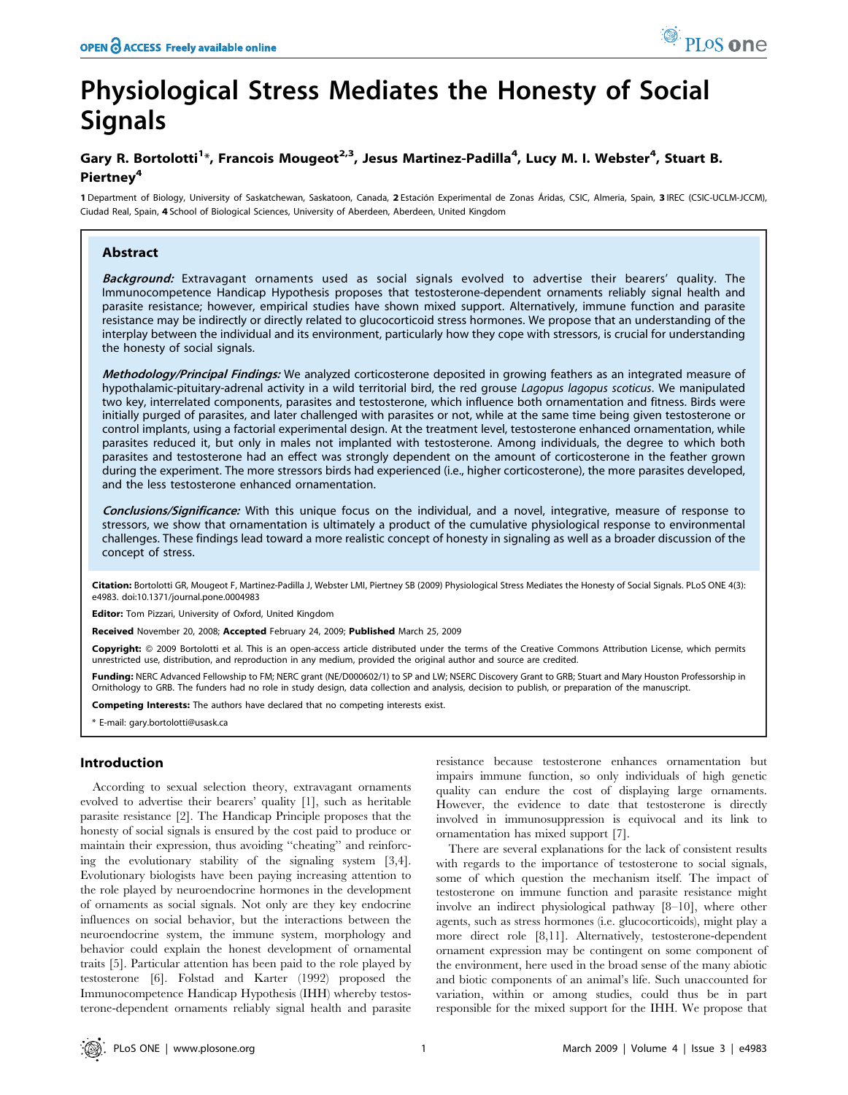# Physiological Stress Mediates the Honesty of Social Signals

## Gary R. Bortolotti<sup>1</sup>\*, Francois Mougeot<sup>2,3</sup>, Jesus Martinez-Padilla<sup>4</sup>, Lucy M. I. Webster<sup>4</sup>, Stuart B. Piertney<sup>4</sup>

1 Department of Biology, University of Saskatchewan, Saskatoon, Canada, 2 Estación Experimental de Zonas Áridas, CSIC, Almeria, Spain, 3 IREC (CSIC-UCLM-JCCM), Ciudad Real, Spain, 4 School of Biological Sciences, University of Aberdeen, Aberdeen, United Kingdom

## Abstract

Background: Extravagant ornaments used as social signals evolved to advertise their bearers' quality. The Immunocompetence Handicap Hypothesis proposes that testosterone-dependent ornaments reliably signal health and parasite resistance; however, empirical studies have shown mixed support. Alternatively, immune function and parasite resistance may be indirectly or directly related to glucocorticoid stress hormones. We propose that an understanding of the interplay between the individual and its environment, particularly how they cope with stressors, is crucial for understanding the honesty of social signals.

Methodology/Principal Findings: We analyzed corticosterone deposited in growing feathers as an integrated measure of hypothalamic-pituitary-adrenal activity in a wild territorial bird, the red grouse Lagopus lagopus scoticus. We manipulated two key, interrelated components, parasites and testosterone, which influence both ornamentation and fitness. Birds were initially purged of parasites, and later challenged with parasites or not, while at the same time being given testosterone or control implants, using a factorial experimental design. At the treatment level, testosterone enhanced ornamentation, while parasites reduced it, but only in males not implanted with testosterone. Among individuals, the degree to which both parasites and testosterone had an effect was strongly dependent on the amount of corticosterone in the feather grown during the experiment. The more stressors birds had experienced (i.e., higher corticosterone), the more parasites developed, and the less testosterone enhanced ornamentation.

Conclusions/Significance: With this unique focus on the individual, and a novel, integrative, measure of response to stressors, we show that ornamentation is ultimately a product of the cumulative physiological response to environmental challenges. These findings lead toward a more realistic concept of honesty in signaling as well as a broader discussion of the concept of stress.

Citation: Bortolotti GR, Mougeot F, Martinez-Padilla J, Webster LMI, Piertney SB (2009) Physiological Stress Mediates the Honesty of Social Signals. PLoS ONE 4(3): e4983. doi:10.1371/journal.pone.0004983

Editor: Tom Pizzari, University of Oxford, United Kingdom

Received November 20, 2008; Accepted February 24, 2009; Published March 25, 2009

Copyright: @ 2009 Bortolotti et al. This is an open-access article distributed under the terms of the Creative Commons Attribution License, which permits unrestricted use, distribution, and reproduction in any medium, provided the original author and source are credited.

Funding: NERC Advanced Fellowship to FM; NERC grant (NE/D000602/1) to SP and LW; NSERC Discovery Grant to GRB; Stuart and Mary Houston Professorship in Ornithology to GRB. The funders had no role in study design, data collection and analysis, decision to publish, or preparation of the manuscript.

Competing Interests: The authors have declared that no competing interests exist.

\* E-mail: gary.bortolotti@usask.ca

## Introduction

According to sexual selection theory, extravagant ornaments evolved to advertise their bearers' quality [1], such as heritable parasite resistance [2]. The Handicap Principle proposes that the honesty of social signals is ensured by the cost paid to produce or maintain their expression, thus avoiding ''cheating'' and reinforcing the evolutionary stability of the signaling system [3,4]. Evolutionary biologists have been paying increasing attention to the role played by neuroendocrine hormones in the development of ornaments as social signals. Not only are they key endocrine influences on social behavior, but the interactions between the neuroendocrine system, the immune system, morphology and behavior could explain the honest development of ornamental traits [5]. Particular attention has been paid to the role played by testosterone [6]. Folstad and Karter (1992) proposed the Immunocompetence Handicap Hypothesis (IHH) whereby testosterone-dependent ornaments reliably signal health and parasite

resistance because testosterone enhances ornamentation but impairs immune function, so only individuals of high genetic quality can endure the cost of displaying large ornaments. However, the evidence to date that testosterone is directly involved in immunosuppression is equivocal and its link to ornamentation has mixed support [7].

There are several explanations for the lack of consistent results with regards to the importance of testosterone to social signals, some of which question the mechanism itself. The impact of testosterone on immune function and parasite resistance might involve an indirect physiological pathway [8–10], where other agents, such as stress hormones (i.e. glucocorticoids), might play a more direct role [8,11]. Alternatively, testosterone-dependent ornament expression may be contingent on some component of the environment, here used in the broad sense of the many abiotic and biotic components of an animal's life. Such unaccounted for variation, within or among studies, could thus be in part responsible for the mixed support for the IHH. We propose that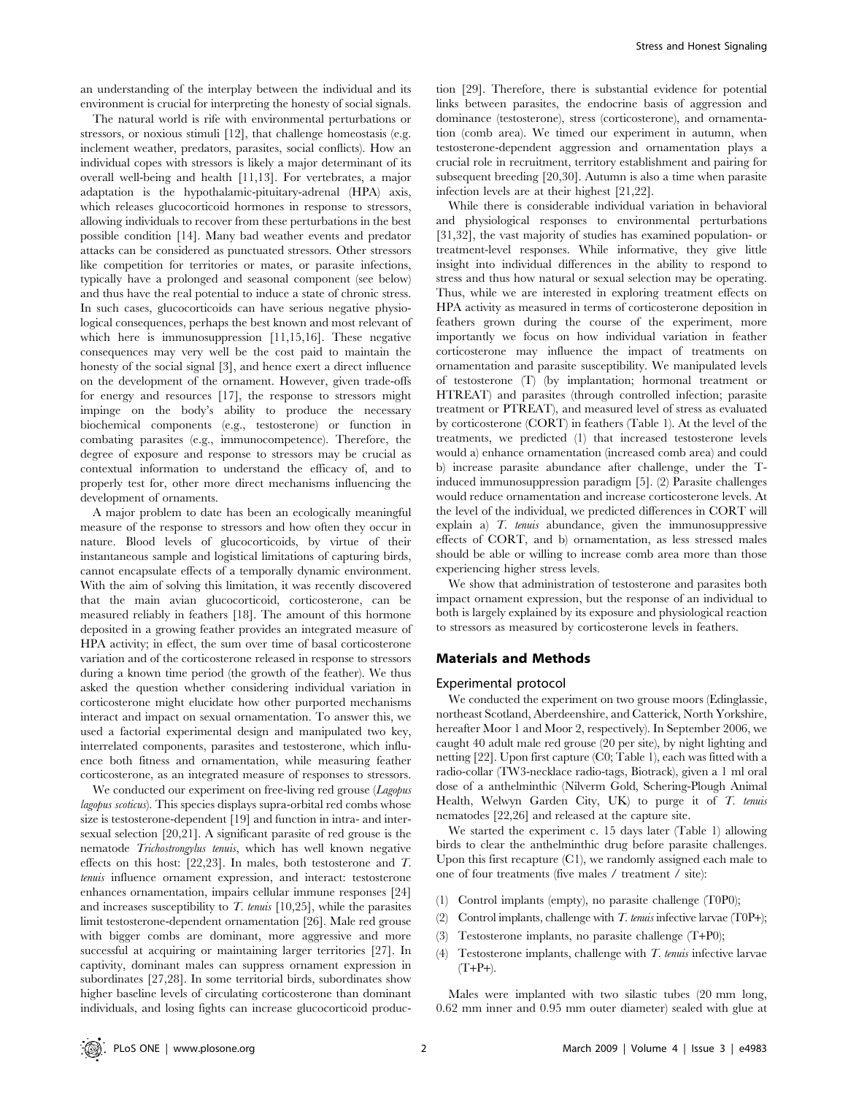an understanding of the interplay between the individual and its environment is crucial for interpreting the honesty of social signals.

The natural world is rife with environmental perturbations or stressors, or noxious stimuli [12], that challenge homeostasis (e.g. inclement weather, predators, parasites, social conflicts). How an individual copes with stressors is likely a major determinant of its overall well-being and health [11,13]. For vertebrates, a major adaptation is the hypothalamic-pituitary-adrenal (HPA) axis, which releases glucocorticoid hormones in response to stressors, allowing individuals to recover from these perturbations in the best possible condition [14]. Many bad weather events and predator attacks can be considered as punctuated stressors. Other stressors like competition for territories or mates, or parasite infections, typically have a prolonged and seasonal component (see below) and thus have the real potential to induce a state of chronic stress. In such cases, glucocorticoids can have serious negative physiological consequences, perhaps the best known and most relevant of which here is immunosuppression [11,15,16]. These negative consequences may very well be the cost paid to maintain the honesty of the social signal [3], and hence exert a direct influence on the development of the ornament. However, given trade-offs for energy and resources [17], the response to stressors might impinge on the body's ability to produce the necessary biochemical components (e.g., testosterone) or function in combating parasites (e.g., immunocompetence). Therefore, the degree of exposure and response to stressors may be crucial as contextual information to understand the efficacy of, and to properly test for, other more direct mechanisms influencing the development of ornaments.

A major problem to date has been an ecologically meaningful measure of the response to stressors and how often they occur in nature. Blood levels of glucocorticoids, by virtue of their instantaneous sample and logistical limitations of capturing birds, cannot encapsulate effects of a temporally dynamic environment. With the aim of solving this limitation, it was recently discovered that the main avian glucocorticoid, corticosterone, can be measured reliably in feathers [18]. The amount of this hormone deposited in a growing feather provides an integrated measure of HPA activity; in effect, the sum over time of basal corticosterone variation and of the corticosterone released in response to stressors during a known time period (the growth of the feather). We thus asked the question whether considering individual variation in corticosterone might elucidate how other purported mechanisms interact and impact on sexual ornamentation. To answer this, we used a factorial experimental design and manipulated two key, interrelated components, parasites and testosterone, which influence both fitness and ornamentation, while measuring feather corticosterone, as an integrated measure of responses to stressors.

We conducted our experiment on free-living red grouse (Lagopus lagopus scoticus). This species displays supra-orbital red combs whose size is testosterone-dependent [19] and function in intra- and intersexual selection [20,21]. A significant parasite of red grouse is the nematode Trichostrongylus tenuis, which has well known negative effects on this host: [22,23]. In males, both testosterone and T. tenuis influence ornament expression, and interact: testosterone enhances ornamentation, impairs cellular immune responses [24] and increases susceptibility to  $T$ . tenuis [10,25], while the parasites limit testosterone-dependent ornamentation [26]. Male red grouse with bigger combs are dominant, more aggressive and more successful at acquiring or maintaining larger territories [27]. In captivity, dominant males can suppress ornament expression in subordinates [27,28]. In some territorial birds, subordinates show higher baseline levels of circulating corticosterone than dominant individuals, and losing fights can increase glucocorticoid production [29]. Therefore, there is substantial evidence for potential links between parasites, the endocrine basis of aggression and dominance (testosterone), stress (corticosterone), and ornamentation (comb area). We timed our experiment in autumn, when testosterone-dependent aggression and ornamentation plays a crucial role in recruitment, territory establishment and pairing for subsequent breeding [20,30]. Autumn is also a time when parasite infection levels are at their highest [21,22].

While there is considerable individual variation in behavioral and physiological responses to environmental perturbations [31,32], the vast majority of studies has examined population- or treatment-level responses. While informative, they give little insight into individual differences in the ability to respond to stress and thus how natural or sexual selection may be operating. Thus, while we are interested in exploring treatment effects on HPA activity as measured in terms of corticosterone deposition in feathers grown during the course of the experiment, more importantly we focus on how individual variation in feather corticosterone may influence the impact of treatments on ornamentation and parasite susceptibility. We manipulated levels of testosterone (T) (by implantation; hormonal treatment or HTREAT) and parasites (through controlled infection; parasite treatment or PTREAT), and measured level of stress as evaluated by corticosterone (CORT) in feathers (Table 1). At the level of the treatments, we predicted (1) that increased testosterone levels would a) enhance ornamentation (increased comb area) and could b) increase parasite abundance after challenge, under the Tinduced immunosuppression paradigm [5]. (2) Parasite challenges would reduce ornamentation and increase corticosterone levels. At the level of the individual, we predicted differences in CORT will explain a)  $T$ . *tenuis* abundance, given the immunosuppressive effects of CORT, and b) ornamentation, as less stressed males should be able or willing to increase comb area more than those experiencing higher stress levels.

We show that administration of testosterone and parasites both impact ornament expression, but the response of an individual to both is largely explained by its exposure and physiological reaction to stressors as measured by corticosterone levels in feathers.

## Materials and Methods

#### Experimental protocol

We conducted the experiment on two grouse moors (Edinglassie, northeast Scotland, Aberdeenshire, and Catterick, North Yorkshire, hereafter Moor 1 and Moor 2, respectively). In September 2006, we caught 40 adult male red grouse (20 per site), by night lighting and netting [22]. Upon first capture (C0; Table 1), each was fitted with a radio-collar (TW3-necklace radio-tags, Biotrack), given a 1 ml oral dose of a anthelminthic (Nilverm Gold, Schering-Plough Animal Health, Welwyn Garden City, UK) to purge it of T. tenuis nematodes [22,26] and released at the capture site.

We started the experiment c. 15 days later (Table 1) allowing birds to clear the anthelminthic drug before parasite challenges. Upon this first recapture  $(C1)$ , we randomly assigned each male to one of four treatments (five males / treatment / site):

- (1) Control implants (empty), no parasite challenge (T0P0);
- (2) Control implants, challenge with  $T$ . tenuis infective larvae (T0P+);
- (3) Testosterone implants, no parasite challenge (T+P0);
- (4) Testosterone implants, challenge with  $T$ . tenuis infective larvae  $(T+P+).$

Males were implanted with two silastic tubes (20 mm long, 0.62 mm inner and 0.95 mm outer diameter) sealed with glue at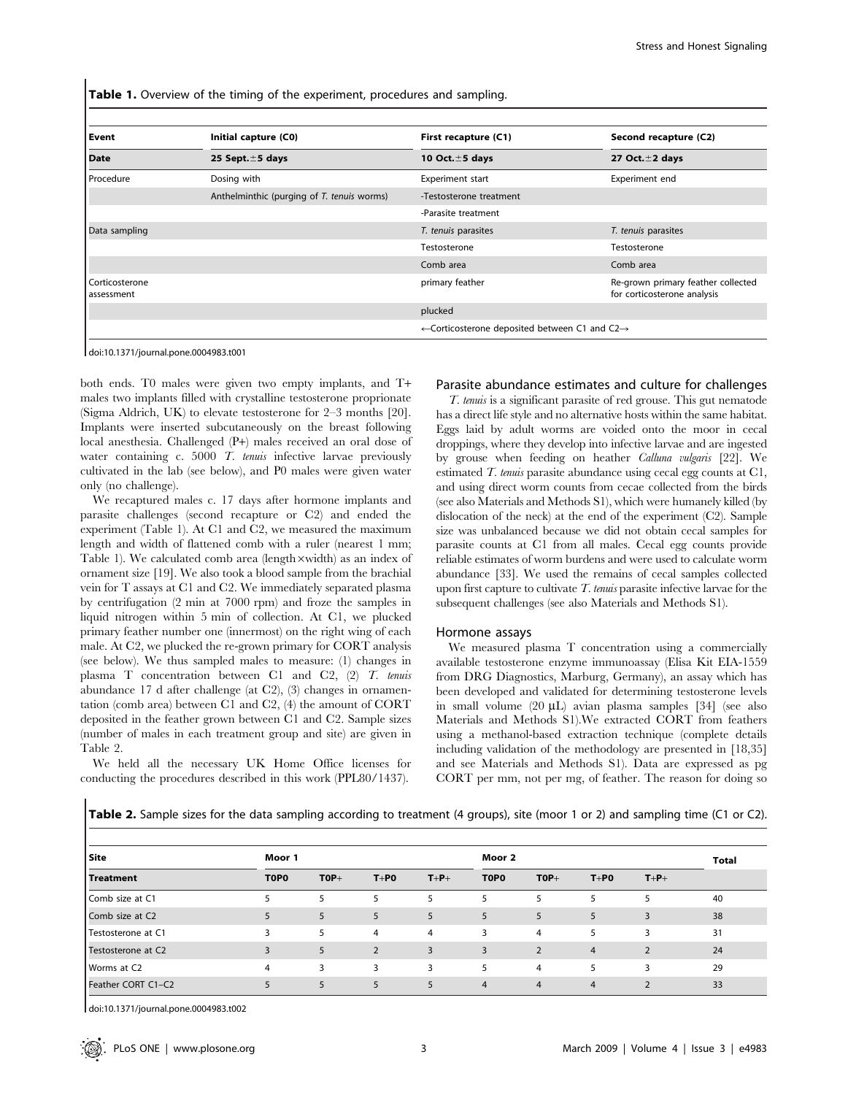Table 1. Overview of the timing of the experiment, procedures and sampling.

| Event                        | Initial capture (C0)                       | First recapture (C1)                                                  | Second recapture (C2)                                             |  |  |
|------------------------------|--------------------------------------------|-----------------------------------------------------------------------|-------------------------------------------------------------------|--|--|
| <b>Date</b>                  | 25 Sept. $\pm$ 5 days                      | 10 Oct. $\pm$ 5 days                                                  | 27 Oct. $\pm$ 2 days                                              |  |  |
| Procedure                    | Dosing with                                | <b>Experiment start</b>                                               | Experiment end                                                    |  |  |
|                              | Anthelminthic (purging of T. tenuis worms) | -Testosterone treatment                                               |                                                                   |  |  |
|                              |                                            | -Parasite treatment                                                   |                                                                   |  |  |
| Data sampling                |                                            | T. tenuis parasites                                                   | T. tenuis parasites                                               |  |  |
|                              |                                            | Testosterone                                                          | Testosterone                                                      |  |  |
|                              |                                            | Comb area                                                             | Comb area                                                         |  |  |
| Corticosterone<br>assessment |                                            | primary feather                                                       | Re-grown primary feather collected<br>for corticosterone analysis |  |  |
|                              |                                            | plucked                                                               |                                                                   |  |  |
|                              |                                            | $\leftarrow$ Corticosterone deposited between C1 and C2 $\rightarrow$ |                                                                   |  |  |

doi:10.1371/journal.pone.0004983.t001

both ends. T0 males were given two empty implants, and T+ males two implants filled with crystalline testosterone proprionate (Sigma Aldrich, UK) to elevate testosterone for 2–3 months [20]. Implants were inserted subcutaneously on the breast following local anesthesia. Challenged (P+) males received an oral dose of water containing c. 5000 T. tenuis infective larvae previously cultivated in the lab (see below), and P0 males were given water only (no challenge).

We recaptured males c. 17 days after hormone implants and parasite challenges (second recapture or C2) and ended the experiment (Table 1). At C1 and C2, we measured the maximum length and width of flattened comb with a ruler (nearest 1 mm; Table 1). We calculated comb area (length  $\times$ width) as an index of ornament size [19]. We also took a blood sample from the brachial vein for T assays at C1 and C2. We immediately separated plasma by centrifugation (2 min at 7000 rpm) and froze the samples in liquid nitrogen within 5 min of collection. At C1, we plucked primary feather number one (innermost) on the right wing of each male. At C2, we plucked the re-grown primary for CORT analysis (see below). We thus sampled males to measure: (1) changes in plasma T concentration between C1 and C2, (2) T. tenuis abundance 17 d after challenge (at C2), (3) changes in ornamentation (comb area) between C1 and C2, (4) the amount of CORT deposited in the feather grown between C1 and C2. Sample sizes (number of males in each treatment group and site) are given in Table 2.

We held all the necessary UK Home Office licenses for conducting the procedures described in this work (PPL80/1437).

## Parasite abundance estimates and culture for challenges

T. tenuis is a significant parasite of red grouse. This gut nematode has a direct life style and no alternative hosts within the same habitat. Eggs laid by adult worms are voided onto the moor in cecal droppings, where they develop into infective larvae and are ingested by grouse when feeding on heather Calluna vulgaris [22]. We estimated T. tenuis parasite abundance using cecal egg counts at C1, and using direct worm counts from cecae collected from the birds (see also Materials and Methods S1), which were humanely killed (by dislocation of the neck) at the end of the experiment (C2). Sample size was unbalanced because we did not obtain cecal samples for parasite counts at C1 from all males. Cecal egg counts provide reliable estimates of worm burdens and were used to calculate worm abundance [33]. We used the remains of cecal samples collected upon first capture to cultivate  $T$ . tenus parasite infective larvae for the subsequent challenges (see also Materials and Methods S1).

#### Hormone assays

We measured plasma T concentration using a commercially available testosterone enzyme immunoassay (Elisa Kit EIA-1559 from DRG Diagnostics, Marburg, Germany), an assay which has been developed and validated for determining testosterone levels in small volume  $(20 \mu L)$  avian plasma samples [34] (see also Materials and Methods S1).We extracted CORT from feathers using a methanol-based extraction technique (complete details including validation of the methodology are presented in [18,35] and see Materials and Methods S1). Data are expressed as pg CORT per mm, not per mg, of feather. The reason for doing so

| Site                        | Moor 1      |        |                | Moor 2         |             |                |                | <b>Total</b>   |    |
|-----------------------------|-------------|--------|----------------|----------------|-------------|----------------|----------------|----------------|----|
| <b>Treatment</b>            | <b>TOPO</b> | $TOP+$ | $T+PO$         | $T+P+$         | <b>TOPO</b> | $TOP+$         | $T+PO$         | $T+P+$         |    |
| Comb size at C1             |             | 5.     | 5              | 5              | 5           | 5              | 5              | 5              | 40 |
| Comb size at C <sub>2</sub> |             | 5      | 5              | 5              | 5           | 5              | 5              | 3              | 38 |
| Testosterone at C1          | 3           | 5      | 4              | $\overline{4}$ | 3           | $\overline{4}$ | 5              | 3              | 31 |
| Testosterone at C2          |             | 5      | $\overline{2}$ | 3              | 3           | $\overline{2}$ | $\overline{4}$ | $\overline{2}$ | 24 |
| Worms at C <sub>2</sub>     | 4           | 3      | 3              | 3              | 5           | $\overline{4}$ | 5              | 3              | 29 |
| Feather CORT C1-C2          |             | 5      | 5              | 5              | 4           | $\overline{4}$ | $\overline{4}$ | $\mathcal{D}$  | 33 |

Table 2. Sample sizes for the data sampling according to treatment (4 groups), site (moor 1 or 2) and sampling time (C1 or C2).

doi:10.1371/journal.pone.0004983.t002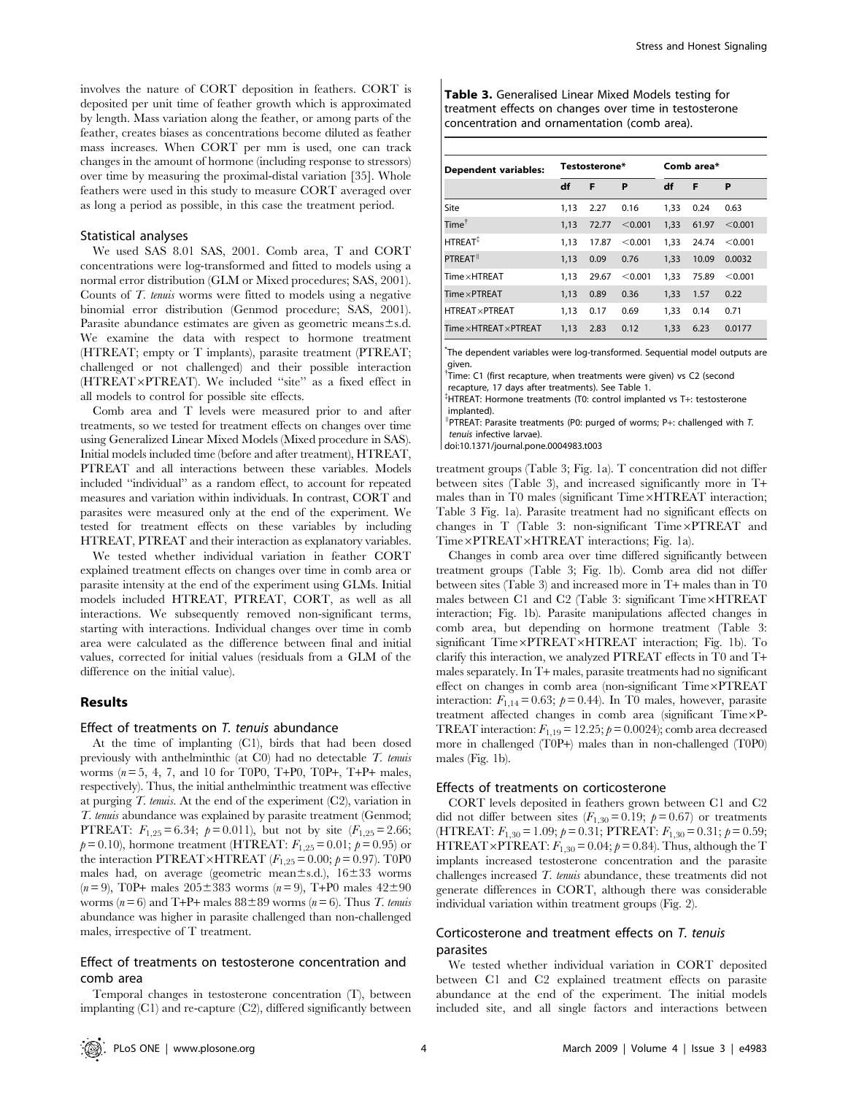involves the nature of CORT deposition in feathers. CORT is deposited per unit time of feather growth which is approximated by length. Mass variation along the feather, or among parts of the feather, creates biases as concentrations become diluted as feather mass increases. When CORT per mm is used, one can track changes in the amount of hormone (including response to stressors) over time by measuring the proximal-distal variation [35]. Whole feathers were used in this study to measure CORT averaged over as long a period as possible, in this case the treatment period.

#### Statistical analyses

We used SAS 8.01 SAS, 2001. Comb area, T and CORT concentrations were log-transformed and fitted to models using a normal error distribution (GLM or Mixed procedures; SAS, 2001). Counts of T. tenuis worms were fitted to models using a negative binomial error distribution (Genmod procedure; SAS, 2001). Parasite abundance estimates are given as geometric means $\pm$ s.d. We examine the data with respect to hormone treatment (HTREAT; empty or T implants), parasite treatment (PTREAT; challenged or not challenged) and their possible interaction (HTREAT×PTREAT). We included "site" as a fixed effect in all models to control for possible site effects.

Comb area and T levels were measured prior to and after treatments, so we tested for treatment effects on changes over time using Generalized Linear Mixed Models (Mixed procedure in SAS). Initial models included time (before and after treatment), HTREAT, PTREAT and all interactions between these variables. Models included ''individual'' as a random effect, to account for repeated measures and variation within individuals. In contrast, CORT and parasites were measured only at the end of the experiment. We tested for treatment effects on these variables by including HTREAT, PTREAT and their interaction as explanatory variables.

We tested whether individual variation in feather CORT explained treatment effects on changes over time in comb area or parasite intensity at the end of the experiment using GLMs. Initial models included HTREAT, PTREAT, CORT, as well as all interactions. We subsequently removed non-significant terms, starting with interactions. Individual changes over time in comb area were calculated as the difference between final and initial values, corrected for initial values (residuals from a GLM of the difference on the initial value).

## Results

#### Effect of treatments on T. tenuis abundance

At the time of implanting (C1), birds that had been dosed previously with anthelminthic (at C0) had no detectable T. tenuis worms ( $n=5, 4, 7$ , and 10 for T0P0, T+P0, T0P+, T+P+ males, respectively). Thus, the initial anthelminthic treatment was effective at purging  $T$ . tenuis. At the end of the experiment  $(C2)$ , variation in T. tenuis abundance was explained by parasite treatment (Genmod; PTREAT:  $F_{1,25} = 6.34$ ;  $p = 0.011$ ), but not by site  $(F_{1,25} = 2.66)$ ;  $p = 0.10$ ), hormone treatment (HTREAT:  $F_{1,25} = 0.01$ ;  $p = 0.95$ ) or the interaction PTREAT×HTREAT ( $F_{1,25} = 0.00$ ;  $p = 0.97$ ). T0P0 males had, on average (geometric mean $\pm$ s.d.),  $16\pm33$  worms  $(n=9)$ , T0P+ males  $205\pm383$  worms  $(n=9)$ , T+P0 males  $42\pm90$ worms ( $n = 6$ ) and T+P+ males  $88 \pm 89$  worms ( $n = 6$ ). Thus T. tenuis abundance was higher in parasite challenged than non-challenged males, irrespective of T treatment.

## Effect of treatments on testosterone concentration and comb area

Temporal changes in testosterone concentration (T), between implanting (C1) and re-capture (C2), differed significantly between Table 3. Generalised Linear Mixed Models testing for treatment effects on changes over time in testosterone concentration and ornamentation (comb area).

| <b>Dependent variables:</b>        | Testosterone* |       |         | Comb area* |       |         |  |
|------------------------------------|---------------|-------|---------|------------|-------|---------|--|
|                                    | df            | F     | P       | df         | F     | P       |  |
| Site                               | 1.13          | 2.27  | 0.16    | 1.33       | 0.24  | 0.63    |  |
| Time $^\dagger$                    | 1.13          | 72.77 | < 0.001 | 1.33       | 61.97 | < 0.001 |  |
| HTRFAT <sup>#</sup>                | 1.13          | 17.87 | < 0.001 | 1.33       | 24.74 | < 0.001 |  |
| PTREAT <sup>II</sup>               | 1.13          | 0.09  | 0.76    | 1.33       | 10.09 | 0.0032  |  |
| Time x HTREAT                      | 1.13          | 29.67 | < 0.001 | 1.33       | 75.89 | < 0.001 |  |
| $Time \times PTREAT$               | 1.13          | 0.89  | 0.36    | 1.33       | 1.57  | 0.22    |  |
| <b>HTREAT × PTREAT</b>             | 1,13          | 0.17  | 0.69    | 1.33       | 0.14  | 0.71    |  |
| $Time \times HTREAT \times PTREAT$ | 1.13          | 2.83  | 0.12    | 1.33       | 6.23  | 0.0177  |  |

\* The dependent variables were log-transformed. Sequential model outputs are given.

<sup>†</sup>Time: C1 (first recapture, when treatments were given) vs C2 (second recapture, 17 days after treatments). See Table 1.

{ HTREAT: Hormone treatments (T0: control implanted vs T+: testosterone implanted).

I PTREAT: Parasite treatments (P0: purged of worms; P+: challenged with T. tenuis infective larvae).

doi:10.1371/journal.pone.0004983.t003

treatment groups (Table 3; Fig. 1a). T concentration did not differ between sites (Table 3), and increased significantly more in T+ males than in T0 males (significant Time×HTREAT interaction; Table 3 Fig. 1a). Parasite treatment had no significant effects on changes in  $T$  (Table 3: non-significant  $Time \times PTREAT$  and Time×PTREAT×HTREAT interactions; Fig. 1a).

Changes in comb area over time differed significantly between treatment groups (Table 3; Fig. 1b). Comb area did not differ between sites (Table 3) and increased more in T+ males than in T0 males between C1 and C2 (Table 3: significant  $Time \times HTREAT$ interaction; Fig. 1b). Parasite manipulations affected changes in comb area, but depending on hormone treatment (Table 3: significant Time×PTREAT×HTREAT interaction; Fig. 1b). To clarify this interaction, we analyzed PTREAT effects in T0 and T+ males separately. In T+ males, parasite treatments had no significant effect on changes in comb area (non-significant Time×PTREAT interaction:  $F_{1,14} = 0.63$ ;  $p = 0.44$ ). In T0 males, however, parasite treatment affected changes in comb area (significant  $Time \times P$ -TREAT interaction:  $F_{1,19} = 12.25$ ;  $\rho = 0.0024$ ); comb area decreased more in challenged (T0P+) males than in non-challenged (T0P0) males (Fig. 1b).

#### Effects of treatments on corticosterone

CORT levels deposited in feathers grown between C1 and C2 did not differ between sites  $(F_{1,30}=0.19; \ p=0.67)$  or treatments (HTREAT:  $F_{1,30} = 1.09$ ;  $p = 0.31$ ; PTREAT:  $F_{1,30} = 0.31$ ;  $p = 0.59$ ; HTREAT×PTREAT:  $F_{1,30} = 0.04$ ;  $p = 0.84$ ). Thus, although the T implants increased testosterone concentration and the parasite challenges increased T. tenuis abundance, these treatments did not generate differences in CORT, although there was considerable individual variation within treatment groups (Fig. 2).

## Corticosterone and treatment effects on T. tenuis parasites

We tested whether individual variation in CORT deposited between C1 and C2 explained treatment effects on parasite abundance at the end of the experiment. The initial models included site, and all single factors and interactions between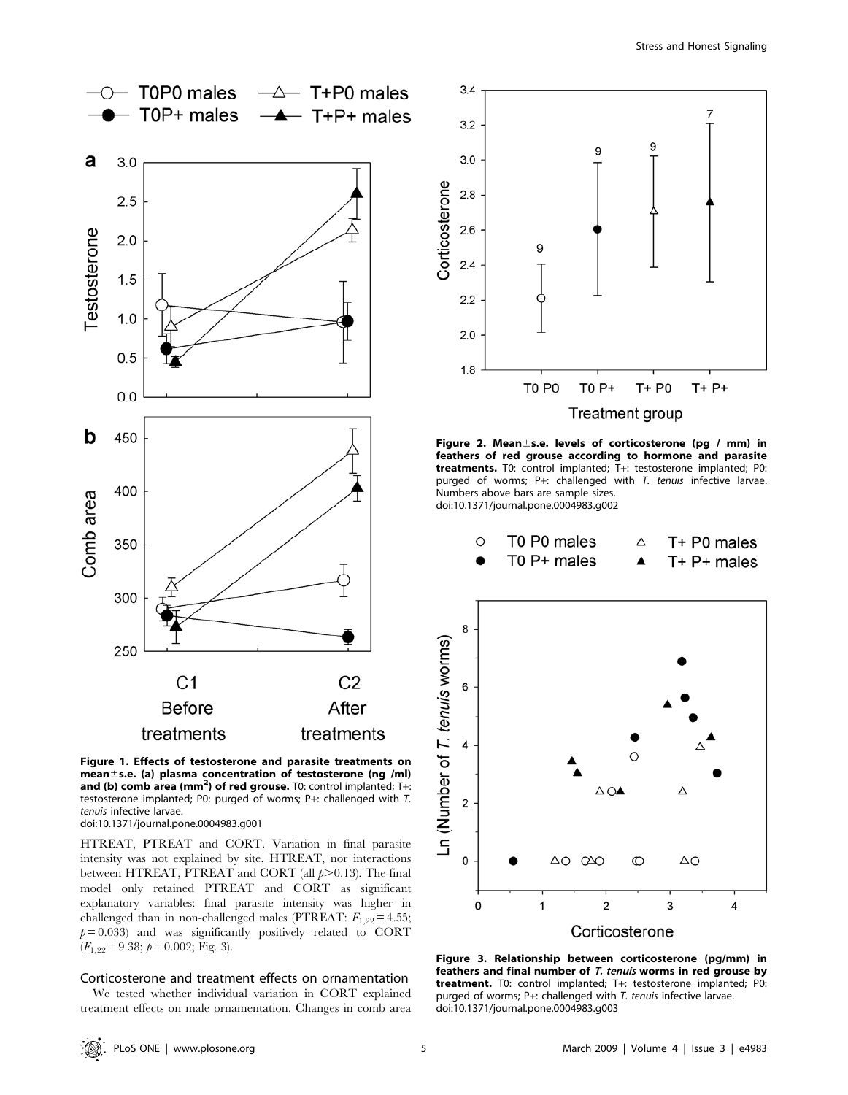

Figure 1. Effects of testosterone and parasite treatments on mean $\pm$ s.e. (a) plasma concentration of testosterone (ng /ml) and (b) comb area (mm<sup>2</sup>) of red grouse. T0: control implanted; T+: testosterone implanted; P0: purged of worms; P+: challenged with T. tenuis infective larvae. doi:10.1371/journal.pone.0004983.g001

HTREAT, PTREAT and CORT. Variation in final parasite intensity was not explained by site, HTREAT, nor interactions between HTREAT, PTREAT and CORT (all  $p > 0.13$ ). The final model only retained PTREAT and CORT as significant explanatory variables: final parasite intensity was higher in challenged than in non-challenged males (PTREAT:  $F_{1,22} = 4.55$ ;  $p= 0.033$ ) and was significantly positively related to CORT  $(F_{1,22}= 9.38; p= 0.002;$  Fig. 3).

### Corticosterone and treatment effects on ornamentation

We tested whether individual variation in CORT explained treatment effects on male ornamentation. Changes in comb area



Figure 2. Mean $\pm$ s.e. levels of corticosterone (pg / mm) in feathers of red grouse according to hormone and parasite treatments. T0: control implanted; T+: testosterone implanted; P0: purged of worms; P+: challenged with T. tenuis infective larvae. Numbers above bars are sample sizes. doi:10.1371/journal.pone.0004983.g002



Figure 3. Relationship between corticosterone (pg/mm) in feathers and final number of T. tenuis worms in red grouse by treatment. T0: control implanted; T+: testosterone implanted; P0: purged of worms; P+: challenged with T. tenuis infective larvae. doi:10.1371/journal.pone.0004983.g003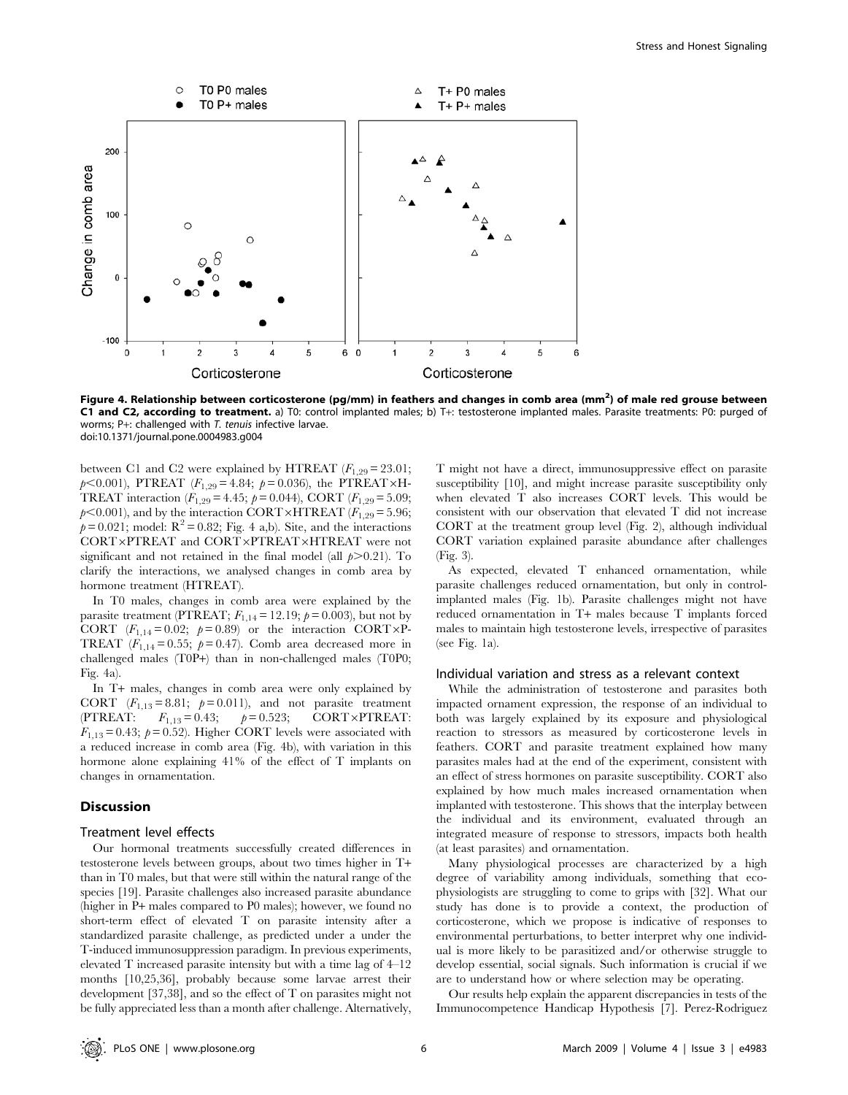

Figure 4. Relationship between corticosterone (pg/mm) in feathers and changes in comb area (mm<sup>2</sup>) of male red grouse between C1 and C2, according to treatment. a) T0: control implanted males; b) T+: testosterone implanted males. Parasite treatments: P0: purged of worms; P+: challenged with T. tenuis infective larvae. doi:10.1371/journal.pone.0004983.g004

between C1 and C2 were explained by HTREAT  $(F_{1,29}=23.01;$  $p<0.001$ ), PTREAT ( $F_{1,29}$  = 4.84;  $p=0.036$ ), the PTREAT×H-TREAT interaction  $(F_{1,29} = 4.45; p = 0.044)$ , CORT  $(F_{1,29} = 5.09;$  $p<0.001$ ), and by the interaction CORT×HTREAT ( $F_{1,29}= 5.96$ ;  $p = 0.021$ ; model:  $R^2 = 0.82$ ; Fig. 4 a,b). Site, and the interactions CORT×PTREAT and CORT×PTREAT×HTREAT were not significant and not retained in the final model (all  $p > 0.21$ ). To clarify the interactions, we analysed changes in comb area by hormone treatment (HTREAT).

In T0 males, changes in comb area were explained by the parasite treatment (PTREAT;  $F_{1,14} = 12.19$ ;  $p = 0.003$ ), but not by CORT  $(F_{1,14}= 0.02; \rho= 0.89)$  or the interaction CORT×P-TREAT  $(F_{1,14}= 0.55; p=0.47)$ . Comb area decreased more in challenged males (T0P+) than in non-challenged males (T0P0; Fig. 4a).

In T+ males, changes in comb area were only explained by CORT  $(F_{1,13}=8.81; p=0.011)$ , and not parasite treatment (PTREAT:  $F_{1,13} = 0.43; \quad p = 0.523; \quad \text{CORT} \times \text{PTREAT}:$  $F_{1,13} = 0.43$ ;  $p = 0.52$ ). Higher CORT levels were associated with a reduced increase in comb area (Fig. 4b), with variation in this hormone alone explaining 41% of the effect of T implants on changes in ornamentation.

## Discussion

## Treatment level effects

Our hormonal treatments successfully created differences in testosterone levels between groups, about two times higher in T+ than in T0 males, but that were still within the natural range of the species [19]. Parasite challenges also increased parasite abundance (higher in P+ males compared to P0 males); however, we found no short-term effect of elevated T on parasite intensity after a standardized parasite challenge, as predicted under a under the T-induced immunosuppression paradigm. In previous experiments, elevated T increased parasite intensity but with a time lag of 4–12 months [10,25,36], probably because some larvae arrest their development [37,38], and so the effect of T on parasites might not be fully appreciated less than a month after challenge. Alternatively,

T might not have a direct, immunosuppressive effect on parasite susceptibility [10], and might increase parasite susceptibility only when elevated T also increases CORT levels. This would be consistent with our observation that elevated T did not increase CORT at the treatment group level (Fig. 2), although individual CORT variation explained parasite abundance after challenges (Fig. 3).

As expected, elevated T enhanced ornamentation, while parasite challenges reduced ornamentation, but only in controlimplanted males (Fig. 1b). Parasite challenges might not have reduced ornamentation in T+ males because T implants forced males to maintain high testosterone levels, irrespective of parasites (see Fig. 1a).

### Individual variation and stress as a relevant context

While the administration of testosterone and parasites both impacted ornament expression, the response of an individual to both was largely explained by its exposure and physiological reaction to stressors as measured by corticosterone levels in feathers. CORT and parasite treatment explained how many parasites males had at the end of the experiment, consistent with an effect of stress hormones on parasite susceptibility. CORT also explained by how much males increased ornamentation when implanted with testosterone. This shows that the interplay between the individual and its environment, evaluated through an integrated measure of response to stressors, impacts both health (at least parasites) and ornamentation.

Many physiological processes are characterized by a high degree of variability among individuals, something that ecophysiologists are struggling to come to grips with [32]. What our study has done is to provide a context, the production of corticosterone, which we propose is indicative of responses to environmental perturbations, to better interpret why one individual is more likely to be parasitized and/or otherwise struggle to develop essential, social signals. Such information is crucial if we are to understand how or where selection may be operating.

Our results help explain the apparent discrepancies in tests of the Immunocompetence Handicap Hypothesis [7]. Perez-Rodriguez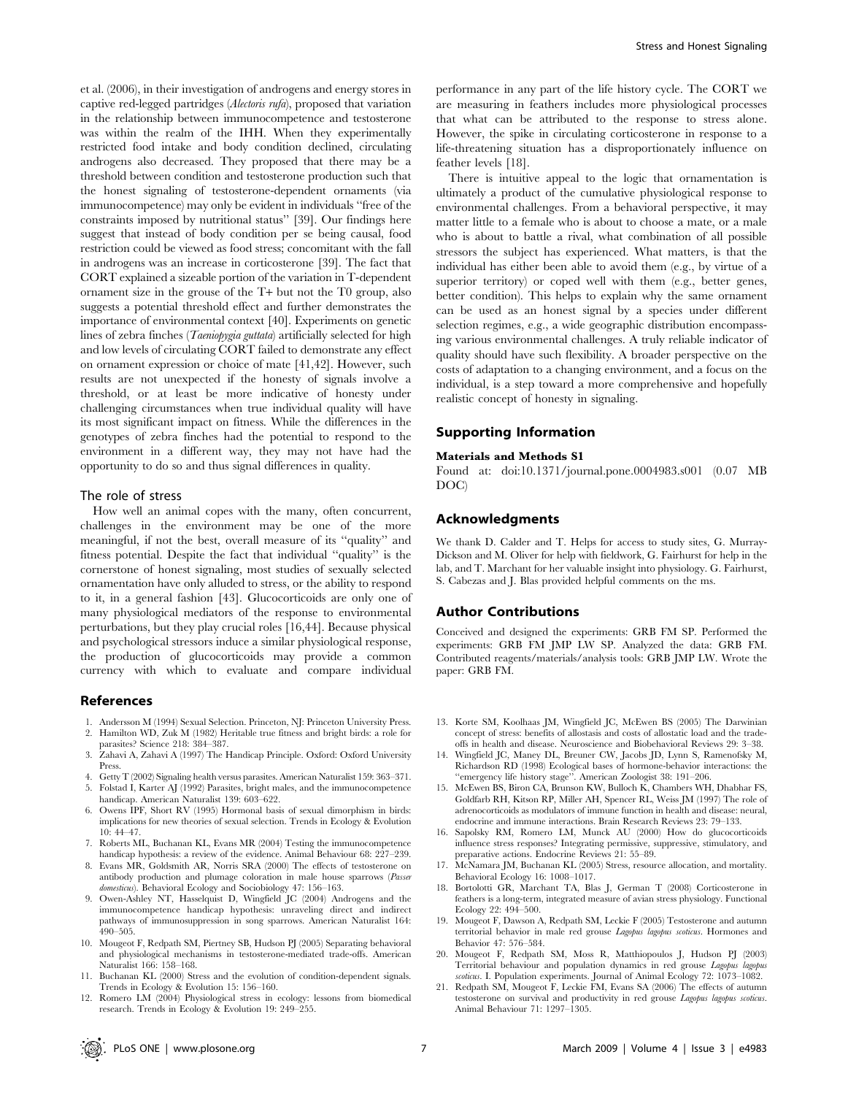et al. (2006), in their investigation of androgens and energy stores in captive red-legged partridges (Alectoris rufa), proposed that variation in the relationship between immunocompetence and testosterone was within the realm of the IHH. When they experimentally restricted food intake and body condition declined, circulating androgens also decreased. They proposed that there may be a threshold between condition and testosterone production such that the honest signaling of testosterone-dependent ornaments (via immunocompetence) may only be evident in individuals ''free of the constraints imposed by nutritional status'' [39]. Our findings here suggest that instead of body condition per se being causal, food restriction could be viewed as food stress; concomitant with the fall in androgens was an increase in corticosterone [39]. The fact that CORT explained a sizeable portion of the variation in T-dependent ornament size in the grouse of the T+ but not the T0 group, also suggests a potential threshold effect and further demonstrates the importance of environmental context [40]. Experiments on genetic lines of zebra finches (*Taeniopygia guttata*) artificially selected for high and low levels of circulating CORT failed to demonstrate any effect on ornament expression or choice of mate [41,42]. However, such results are not unexpected if the honesty of signals involve a threshold, or at least be more indicative of honesty under challenging circumstances when true individual quality will have its most significant impact on fitness. While the differences in the genotypes of zebra finches had the potential to respond to the environment in a different way, they may not have had the opportunity to do so and thus signal differences in quality.

## The role of stress

How well an animal copes with the many, often concurrent, challenges in the environment may be one of the more meaningful, if not the best, overall measure of its ''quality'' and fitness potential. Despite the fact that individual ''quality'' is the cornerstone of honest signaling, most studies of sexually selected ornamentation have only alluded to stress, or the ability to respond to it, in a general fashion [43]. Glucocorticoids are only one of many physiological mediators of the response to environmental perturbations, but they play crucial roles [16,44]. Because physical and psychological stressors induce a similar physiological response, the production of glucocorticoids may provide a common currency with which to evaluate and compare individual

## References

- 1. Andersson M (1994) Sexual Selection. Princeton, NJ: Princeton University Press. 2. Hamilton WD, Zuk M (1982) Heritable true fitness and bright birds: a role for
- parasites? Science 218: 384–387. 3. Zahavi A, Zahavi A (1997) The Handicap Principle. Oxford: Oxford University
- Press. 4. Getty T (2002) Signaling health versus parasites. American Naturalist 159: 363–371.
- 5. Folstad I, Karter AJ (1992) Parasites, bright males, and the immunocompetence handicap. American Naturalist 139: 603–622.
- 6. Owens IPF, Short RV (1995) Hormonal basis of sexual dimorphism in birds: implications for new theories of sexual selection. Trends in Ecology & Evolution 10: 44–47.
- 7. Roberts ML, Buchanan KL, Evans MR (2004) Testing the immunocompetence handicap hypothesis: a review of the evidence. Animal Behaviour 68: 227–239.
- 8. Evans MR, Goldsmith AR, Norris SRA (2000) The effects of testosterone on antibody production and plumage coloration in male house sparrows (Passer domesticus). Behavioral Ecology and Sociobiology 47: 156-163.
- 9. Owen-Ashley NT, Hasselquist D, Wingfield JC (2004) Androgens and the immunocompetence handicap hypothesis: unraveling direct and indirect pathways of immunosuppression in song sparrows. American Naturalist 164: 490–505.
- 10. Mougeot F, Redpath SM, Piertney SB, Hudson PJ (2005) Separating behavioral and physiological mechanisms in testosterone-mediated trade-offs. American Naturalist 166: 158–168.
- 11. Buchanan KL (2000) Stress and the evolution of condition-dependent signals. Trends in Ecology & Evolution 15: 156–160.
- 12. Romero LM (2004) Physiological stress in ecology: lessons from biomedical research. Trends in Ecology & Evolution 19: 249–255.

performance in any part of the life history cycle. The CORT we are measuring in feathers includes more physiological processes that what can be attributed to the response to stress alone. However, the spike in circulating corticosterone in response to a life-threatening situation has a disproportionately influence on feather levels [18].

There is intuitive appeal to the logic that ornamentation is ultimately a product of the cumulative physiological response to environmental challenges. From a behavioral perspective, it may matter little to a female who is about to choose a mate, or a male who is about to battle a rival, what combination of all possible stressors the subject has experienced. What matters, is that the individual has either been able to avoid them (e.g., by virtue of a superior territory) or coped well with them (e.g., better genes, better condition). This helps to explain why the same ornament can be used as an honest signal by a species under different selection regimes, e.g., a wide geographic distribution encompassing various environmental challenges. A truly reliable indicator of quality should have such flexibility. A broader perspective on the costs of adaptation to a changing environment, and a focus on the individual, is a step toward a more comprehensive and hopefully realistic concept of honesty in signaling.

## Supporting Information

#### Materials and Methods S1

Found at: doi:10.1371/journal.pone.0004983.s001 (0.07 MB DOC)

## Acknowledgments

We thank D. Calder and T. Helps for access to study sites, G. Murray-Dickson and M. Oliver for help with fieldwork, G. Fairhurst for help in the lab, and T. Marchant for her valuable insight into physiology. G. Fairhurst, S. Cabezas and J. Blas provided helpful comments on the ms.

## Author Contributions

Conceived and designed the experiments: GRB FM SP. Performed the experiments: GRB FM JMP LW SP. Analyzed the data: GRB FM. Contributed reagents/materials/analysis tools: GRB JMP LW. Wrote the paper: GRB FM.

- 13. Korte SM, Koolhaas JM, Wingfield JC, McEwen BS (2005) The Darwinian concept of stress: benefits of allostasis and costs of allostatic load and the tradeoffs in health and disease. Neuroscience and Biobehavioral Reviews 29: 3–38.
- 14. Wingfield JC, Maney DL, Breuner CW, Jacobs JD, Lynn S, Ramenofsky M, Richardson RD (1998) Ecological bases of hormone-behavior interactions: the ''emergency life history stage''. American Zoologist 38: 191–206.
- 15. McEwen BS, Biron CA, Brunson KW, Bulloch K, Chambers WH, Dhabhar FS, Goldfarb RH, Kitson RP, Miller AH, Spencer RL, Weiss JM (1997) The role of adrenocorticoids as modulators of immune function in health and disease: neural, endocrine and immune interactions. Brain Research Reviews 23: 79–133.
- 16. Sapolsky RM, Romero LM, Munck AU (2000) How do glucocorticoids influence stress responses? Integrating permissive, suppressive, stimulatory, and preparative actions. Endocrine Reviews 21: 55–89.
- 17. McNamara JM, Buchanan KL (2005) Stress, resource allocation, and mortality. Behavioral Ecology 16: 1008–1017.
- 18. Bortolotti GR, Marchant TA, Blas J, German T (2008) Corticosterone in feathers is a long-term, integrated measure of avian stress physiology. Functional Ecology 22: 494–500.
- 19. Mougeot F, Dawson A, Redpath SM, Leckie F (2005) Testosterone and autumn territorial behavior in male red grouse Lagopus lagopus scoticus. Hormones and Behavior 47: 576–584.
- 20. Mougeot F, Redpath SM, Moss R, Matthiopoulos J, Hudson PJ (2003) Territorial behaviour and population dynamics in red grouse Lagopus lagopus coticus. I. Population experiments. Journal of Animal Ecology 72: 1073-1082.
- 21. Redpath SM, Mougeot F, Leckie FM, Evans SA (2006) The effects of autumn testosterone on survival and productivity in red grouse Lagopus lagopus scoticus. Animal Behaviour 71: 1297–1305.